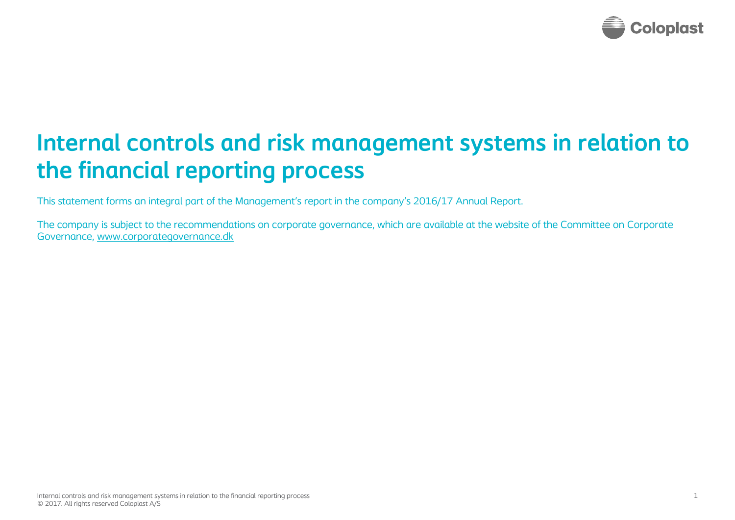

# **Internal controls and risk management systems in relation to the financial reporting process**

This statement forms an integral part of the Management's report in the company's 2016/17 Annual Report.

The company is subject to the recommendations on corporate governance, which are available at the website of the Committee on Corporate Governance, [www.corporategovernance.dk](http://www.corporategovernance.dk/)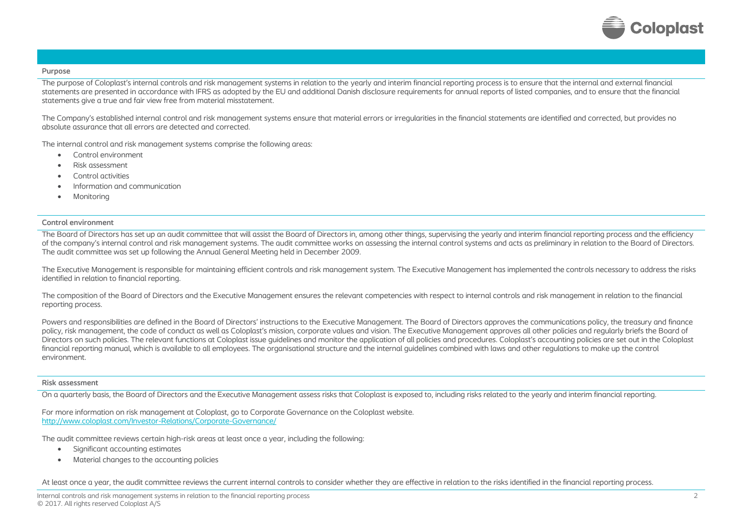

# **Purpose**

The purpose of Coloplast's internal controls and risk management systems in relation to the yearly and interim financial reporting process is to ensure that the internal and external financial statements are presented in accordance with IFRS as adopted by the EU and additional Danish disclosure requirements for annual reports of listed companies, and to ensure that the financial statements give a true and fair view free from material misstatement.

The Company's established internal control and risk management systems ensure that material errors or irregularities in the financial statements are identified and corrected, but provides no absolute assurance that all errors are detected and corrected.

The internal control and risk management systems comprise the following areas:

- Control environment
- Risk assessment
- Control activities
- Information and communication
- **Monitoring**

# **Control environment**

The Board of Directors has set up an audit committee that will assist the Board of Directors in, among other things, supervising the yearly and interim financial reporting process and the efficiency of the company's internal control and risk management systems. The audit committee works on assessing the internal control systems and acts as preliminary in relation to the Board of Directors. The audit committee was set up following the Annual General Meeting held in December 2009.

The Executive Management is responsible for maintaining efficient controls and risk management system. The Executive Management has implemented the controls necessary to address the risks identified in relation to financial reporting.

The composition of the Board of Directors and the Executive Management ensures the relevant competencies with respect to internal controls and risk management in relation to the financial reporting process.

Powers and responsibilities are defined in the Board of Directors' instructions to the Executive Management. The Board of Directors approves the communications policy, the treasury and finance policy, risk management, the code of conduct as well as Coloplast's mission, corporate values and vision. The Executive Management approves all other policies and regularly briefs the Board of Directors on such policies. The relevant functions at Coloplast issue guidelines and monitor the application of all policies and procedures. Coloplast's accounting policies are set out in the Coloplast financial reporting manual, which is available to all employees. The organisational structure and the internal guidelines combined with laws and other regulations to make up the control environment.

#### **Risk assessment**

On a quarterly basis, the Board of Directors and the Executive Management assess risks that Coloplast is exposed to, including risks related to the yearly and interim financial reporting.

For more information on risk management at Coloplast, go to Corporate Governance on the Coloplast website. <http://www.coloplast.com/Investor-Relations/Corporate-Governance/>

The audit committee reviews certain high-risk areas at least once a year, including the following:

- Significant accounting estimates
- Material changes to the accounting policies

At least once a year, the audit committee reviews the current internal controls to consider whether they are effective in relation to the risks identified in the financial reporting process.